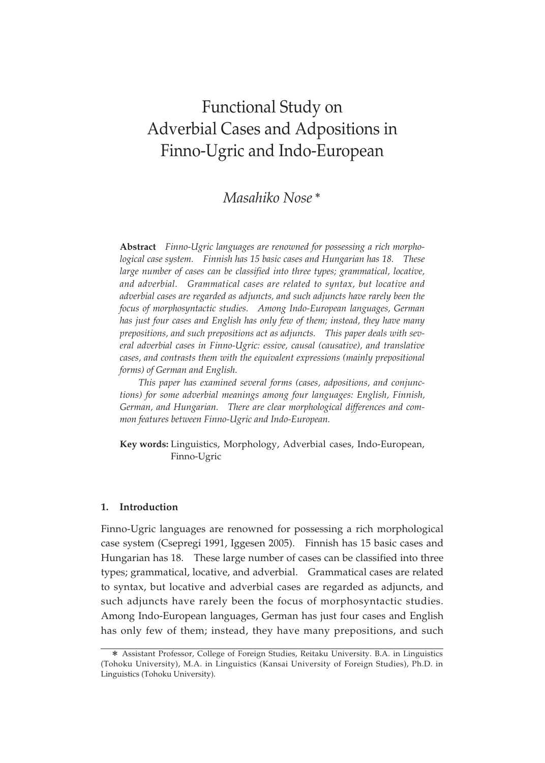# Functional Study on Adverbial Cases and Adpositions in Finno-Ugric and Indo-European

# *Masahiko Nose* \*

**Abstract** *Finno-Ugric languages are renowned for possessing a rich morphological case system. Finnish has 15 basic cases and Hungarian has 18. These large number of cases can be classified into three types; grammatical, locative, and adverbial. Grammatical cases are related to syntax, but locative and adverbial cases are regarded as adjuncts, and such adjuncts have rarely been the focus of morphosyntactic studies. Among Indo-European languages, German has just four cases and English has only few of them; instead, they have many prepositions, and such prepositions act as adjuncts. This paper deals with several adverbial cases in Finno-Ugric: essive, causal (causative), and translative cases, and contrasts them with the equivalent expressions (mainly prepositional forms) of German and English.* 

*This paper has examined several forms (cases, adpositions, and conjunctions) for some adverbial meanings among four languages: English, Finnish, German, and Hungarian. There are clear morphological differences and common features between Finno-Ugric and Indo-European.* 

**Key words:** Linguistics, Morphology, Adverbial cases, Indo-European, Finno-Ugric

# **1. Introduction**

Finno-Ugric languages are renowned for possessing a rich morphological case system (Csepregi 1991, Iggesen 2005). Finnish has 15 basic cases and Hungarian has 18. These large number of cases can be classified into three types; grammatical, locative, and adverbial. Grammatical cases are related to syntax, but locative and adverbial cases are regarded as adjuncts, and such adjuncts have rarely been the focus of morphosyntactic studies. Among Indo-European languages, German has just four cases and English has only few of them; instead, they have many prepositions, and such

<sup>\*</sup> Assistant Professor, College of Foreign Studies, Reitaku University. B.A. in Linguistics (Tohoku University), M.A. in Linguistics (Kansai University of Foreign Studies), Ph.D. in Linguistics (Tohoku University).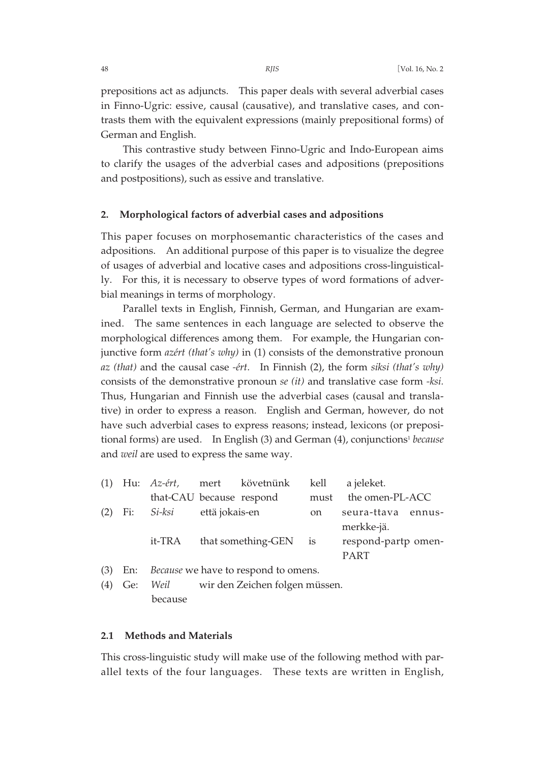prepositions act as adjuncts. This paper deals with several adverbial cases in Finno-Ugric: essive, causal (causative), and translative cases, and contrasts them with the equivalent expressions (mainly prepositional forms) of German and English.

This contrastive study between Finno-Ugric and Indo-European aims to clarify the usages of the adverbial cases and adpositions (prepositions and postpositions), such as essive and translative.

#### **2. Morphological factors of adverbial cases and adpositions**

This paper focuses on morphosemantic characteristics of the cases and adpositions. An additional purpose of this paper is to visualize the degree of usages of adverbial and locative cases and adpositions cross-linguistically. For this, it is necessary to observe types of word formations of adverbial meanings in terms of morphology.

Parallel texts in English, Finnish, German, and Hungarian are examined. The same sentences in each language are selected to observe the morphological differences among them. For example, the Hungarian conjunctive form *azért (that's why)* in (1) consists of the demonstrative pronoun *az (that)* and the causal case *-ért*. In Finnish (2), the form *siksi (that's why)* consists of the demonstrative pronoun *se (it)* and translative case form *-ksi.* Thus, Hungarian and Finnish use the adverbial cases (causal and translative) in order to express a reason. English and German, however, do not have such adverbial cases to express reasons; instead, lexicons (or prepositional forms) are used. In English (3) and German (4), conjunctions<sup>1</sup> *because* and *weil* are used to express the same way.

|            | (1) Hu: Az-ért, mert követnünk kell                                                                                                                                                                                                                                                                                           |                       |  |  |    | a jeleket.           |  |
|------------|-------------------------------------------------------------------------------------------------------------------------------------------------------------------------------------------------------------------------------------------------------------------------------------------------------------------------------|-----------------------|--|--|----|----------------------|--|
|            | that-CAU because respond                                                                                                                                                                                                                                                                                                      |                       |  |  |    | must the omen-PL-ACC |  |
|            | $(2)$ Fi: Si-ksi                                                                                                                                                                                                                                                                                                              | että jokais-en        |  |  | on | seura-ttava ennus-   |  |
|            |                                                                                                                                                                                                                                                                                                                               |                       |  |  |    | merkke-jä.           |  |
|            | it-TRA                                                                                                                                                                                                                                                                                                                        | that something-GEN is |  |  |    | respond-partp omen-  |  |
|            |                                                                                                                                                                                                                                                                                                                               |                       |  |  |    | <b>PART</b>          |  |
| $\sqrt{2}$ | $\mathbf{n}$ and $\mathbf{n}$ and $\mathbf{n}$ and $\mathbf{n}$ and $\mathbf{n}$ and $\mathbf{n}$ and $\mathbf{n}$ and $\mathbf{n}$ and $\mathbf{n}$ and $\mathbf{n}$ and $\mathbf{n}$ and $\mathbf{n}$ and $\mathbf{n}$ and $\mathbf{n}$ and $\mathbf{n}$ and $\mathbf{n}$ and $\mathbf{n}$ and $\mathbf{n}$ and $\mathbf{n$ |                       |  |  |    |                      |  |

(3) En: *Because* we have to respond to omens.

(4) Ge: *Weil* wir den Zeichen folgen müssen. because

# **2.1 Methods and Materials**

This cross-linguistic study will make use of the following method with parallel texts of the four languages. These texts are written in English,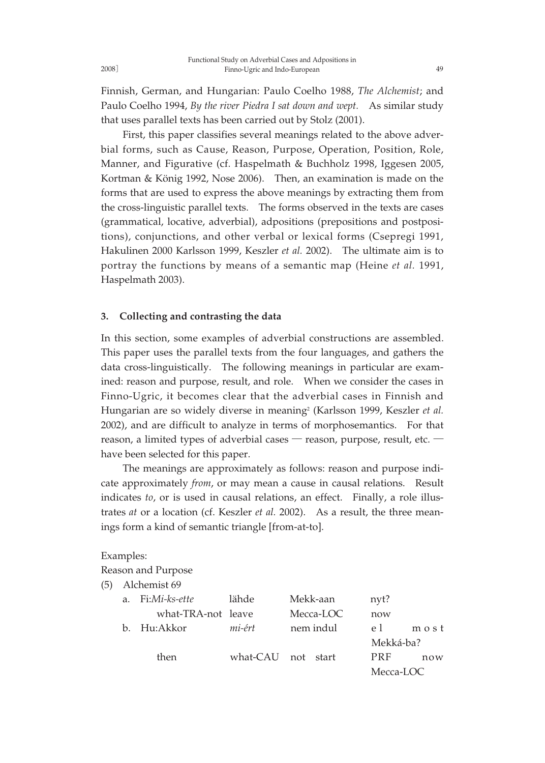Finnish, German, and Hungarian: Paulo Coelho 1988, *The Alchemist*; and Paulo Coelho 1994, *By the river Piedra I sat down and wept.* As similar study that uses parallel texts has been carried out by Stolz (2001).

First, this paper classifies several meanings related to the above adverbial forms, such as Cause, Reason, Purpose, Operation, Position, Role, Manner, and Figurative (cf. Haspelmath & Buchholz 1998, Iggesen 2005, Kortman & König 1992, Nose 2006). Then, an examination is made on the forms that are used to express the above meanings by extracting them from the cross-linguistic parallel texts. The forms observed in the texts are cases (grammatical, locative, adverbial), adpositions (prepositions and postpositions), conjunctions, and other verbal or lexical forms (Csepregi 1991, Hakulinen 2000 Karlsson 1999, Keszler *et al.* 2002). The ultimate aim is to portray the functions by means of a semantic map (Heine *et al.* 1991, Haspelmath 2003).

## **3. Collecting and contrasting the data**

In this section, some examples of adverbial constructions are assembled. This paper uses the parallel texts from the four languages, and gathers the data cross-linguistically. The following meanings in particular are examined: reason and purpose, result, and role. When we consider the cases in Finno-Ugric, it becomes clear that the adverbial cases in Finnish and Hungarian are so widely diverse in meaning<sup>2</sup> (Karlsson 1999, Keszler *et al.*) 2002), and are difficult to analyze in terms of morphosemantics. For that reason, a limited types of adverbial cases ― reason, purpose, result, etc. ― have been selected for this paper.

The meanings are approximately as follows: reason and purpose indicate approximately *from*, or may mean a cause in causal relations. Result indicates *to*, or is used in causal relations, an effect. Finally, a role illustrates *at* or a location (cf. Keszler *et al.* 2002). As a result, the three meanings form a kind of semantic triangle [from-at-to].

Examples:

Reason and Purpose

(5) Alchemist 69

| a. | Fi:Mi-ks-ette      | lähde              | Mekk-aan  | nyt?       |                |
|----|--------------------|--------------------|-----------|------------|----------------|
|    | what-TRA-not leave |                    | Mecca-LOC | now        |                |
|    | b. Hu:Akkor        | mi-ért             | nem indul | $\rho$     | $m \alpha s t$ |
|    |                    |                    |           | Mekká-ba?  |                |
|    | then               | what-CAU not start |           | <b>PRF</b> | now            |
|    |                    |                    |           | Mecca-LOC  |                |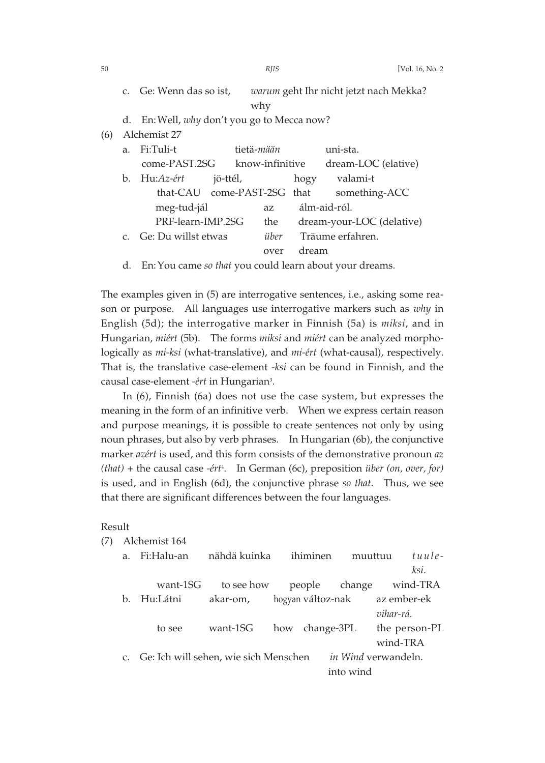| 50 | <b>RIIS</b> | [Vol. 16, No. 2 |
|----|-------------|-----------------|
|----|-------------|-----------------|

|     |    | c. Ge: Wenn das so ist.                     |          | why         |                                                   | warum geht Ihr nicht jetzt nach Mekka? |
|-----|----|---------------------------------------------|----------|-------------|---------------------------------------------------|----------------------------------------|
|     |    | d. En: Well, why don't you go to Mecca now? |          |             |                                                   |                                        |
| (6) |    | Alchemist 27                                |          |             |                                                   |                                        |
|     | a. | $Fi: Tuli-t$                                |          | tietä-mään  |                                                   | uni-sta.                               |
|     |    |                                             |          |             | come-PAST.2SG know-infinitive dream-LOC (elative) |                                        |
|     | b. | Hu: <i>Az-ért</i>                           | jö-ttél, |             | hogy                                              | valami-t                               |
|     |    | that-CAU come-PAST-2SG that                 |          |             |                                                   | something-ACC                          |
|     |    | meg-tud-jál                                 |          | az.         |                                                   | álm-aid-ról.                           |
|     |    | PRF-learn-IMP.2SG                           |          | the         |                                                   | dream-your-LOC (delative)              |
|     |    | c. Ge: Du willst etwas                      |          | <i>über</i> |                                                   | Träume erfahren.                       |
|     |    |                                             |          | over        | dream                                             |                                        |

d. En: You came *so that* you could learn about your dreams.

The examples given in (5) are interrogative sentences, i.e., asking some reason or purpose. All languages use interrogative markers such as *why* in English (5d); the interrogative marker in Finnish (5a) is *miksi*, and in Hungarian, *miért* (5b). The forms *miksi* and *miért* can be analyzed morphologically as *mi-ksi* (what-translative), and *mi-ért* (what-causal), respectively. That is, the translative case-element *-ksi* can be found in Finnish, and the causal case-element *-ért* in Hungarian<sup>3</sup>.

In (6), Finnish (6a) does not use the case system, but expresses the meaning in the form of an infinitive verb. When we express certain reason and purpose meanings, it is possible to create sentences not only by using noun phrases, but also by verb phrases. In Hungarian (6b), the conjunctive marker *azért* is used, and this form consists of the demonstrative pronoun *az (that)* + the causal case *-ért*<sup>4</sup> . In German (6c), preposition *über (on, over, for)* is used, and in English (6d), the conjunctive phrase *so that*. Thus, we see that there are significant differences between the four languages.

# Result

| a. | Fi:Halu-an                               | nähdä kuinka |                   | ihiminen   | muuttuu             |             | $t$ uule-     |
|----|------------------------------------------|--------------|-------------------|------------|---------------------|-------------|---------------|
|    |                                          |              |                   |            |                     |             | ksi.          |
|    | want-1SG                                 | to see how   |                   |            | people change       |             | wind-TRA      |
| b. | Hu:Látni                                 | akar-om,     | hogyan változ-nak |            |                     | az ember-ek |               |
|    |                                          |              |                   |            |                     | vihar-rá.   |               |
|    | to see                                   | want-1SG     | how               | change-3PL |                     |             | the person-PL |
|    |                                          |              |                   |            |                     | wind-TRA    |               |
|    | c. Ge: Ich will sehen, wie sich Menschen |              |                   |            | in Wind verwandeln. |             |               |
|    |                                          |              |                   |            | into wind           |             |               |
|    |                                          |              |                   |            |                     |             |               |

(7) Alchemist 164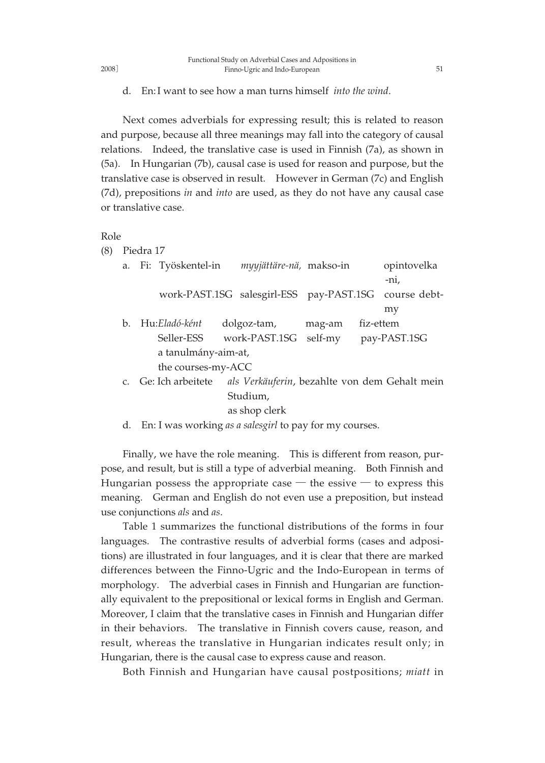d. En: I want to see how a man turns himself *into the wind*.

Next comes adverbials for expressing result; this is related to reason and purpose, because all three meanings may fall into the category of causal relations. Indeed, the translative case is used in Finnish (7a), as shown in (5a). In Hungarian (7b), causal case is used for reason and purpose, but the translative case is observed in result. However in German (7c) and English (7d), prepositions *in* and *into* are used, as they do not have any causal case or translative case.

Role

| (8) |             | Piedra 17 |                                                                          |                                               |                   |           |                     |
|-----|-------------|-----------|--------------------------------------------------------------------------|-----------------------------------------------|-------------------|-----------|---------------------|
|     | a.          |           | Fi: Työskentel-in                                                        | myyjättäre-nä, makso-in                       |                   |           | opintovelka<br>-ni. |
|     |             |           |                                                                          | work-PAST.1SG salesgirl-ESS pay-PAST.1SG      |                   |           | course debt-<br>my  |
|     | $h_{\cdot}$ |           | Hu:Eladó-ként<br>Seller-ESS<br>a tanulmány-aim-at,<br>the courses-my-ACC | dolgoz-tam,<br>work-PAST.1SG                  | mag-am<br>self-my | fiz-ettem | pay-PAST.1SG        |
|     |             |           | c. Ge: Ich arbeitete                                                     | als Verkäuferin, bezahlte von dem Gehalt mein |                   |           |                     |
|     |             |           |                                                                          | Studium,                                      |                   |           |                     |

as shop clerk

d. En: I was working *as a salesgirl* to pay for my courses.

Finally, we have the role meaning. This is different from reason, purpose, and result, but is still a type of adverbial meaning. Both Finnish and Hungarian possess the appropriate case — the essive — to express this meaning. German and English do not even use a preposition, but instead use conjunctions *als* and *as*.

Table 1 summarizes the functional distributions of the forms in four languages. The contrastive results of adverbial forms (cases and adpositions) are illustrated in four languages, and it is clear that there are marked differences between the Finno-Ugric and the Indo-European in terms of morphology. The adverbial cases in Finnish and Hungarian are functionally equivalent to the prepositional or lexical forms in English and German. Moreover, I claim that the translative cases in Finnish and Hungarian differ in their behaviors. The translative in Finnish covers cause, reason, and result, whereas the translative in Hungarian indicates result only; in Hungarian, there is the causal case to express cause and reason.

Both Finnish and Hungarian have causal postpositions; *miatt* in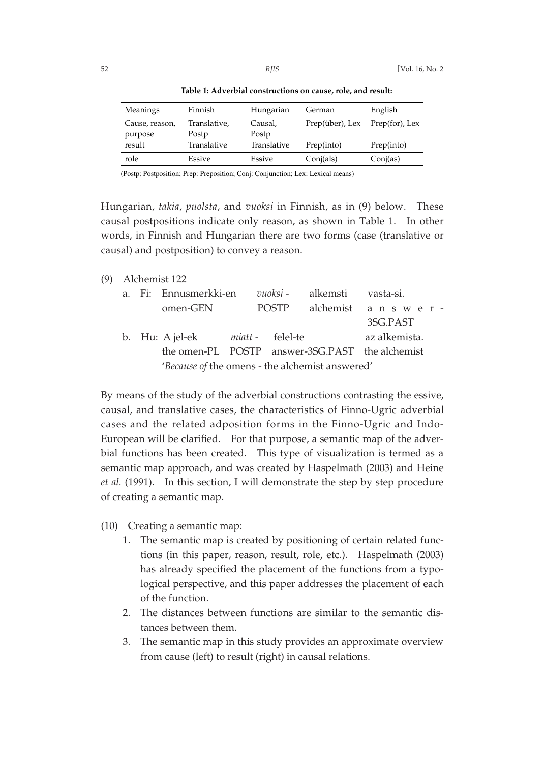| Meanings       | Finnish      | Hungarian   | German          | English           |
|----------------|--------------|-------------|-----------------|-------------------|
| Cause, reason, | Translative, | Causal,     | Prep(über), Lex | $Prep(for)$ , Lex |
| purpose        | Postp        | Postp       |                 |                   |
| result         | Translative  | Translative | Prep(into)      | Prep(into)        |
| role           | Essive       | Essive      | Conj(als)       | Conj(as)          |

**Table 1: Adverbial constructions on cause, role, and result:**

(Postp: Postposition; Prep: Preposition; Conj: Conjunction; Lex: Lexical means)

Hungarian, *takia*, *puolsta*, and *vuoksi* in Finnish, as in (9) below. These causal postpositions indicate only reason, as shown in Table 1. In other words, in Finnish and Hungarian there are two forms (case (translative or causal) and postposition) to convey a reason.

#### (9) Alchemist 122

|                                                 |  | a. Fi: Ennusmerkki-en vuoksi -                  |  |       | alkemsti vasta-si.      |               |  |  |
|-------------------------------------------------|--|-------------------------------------------------|--|-------|-------------------------|---------------|--|--|
|                                                 |  | omen-GEN                                        |  | POSTP | alchemist a n s w e r - |               |  |  |
|                                                 |  |                                                 |  |       |                         | 3SG.PAST      |  |  |
|                                                 |  | b. Hu: A jel-ek miatt - felel-te                |  |       |                         | az alkemista. |  |  |
|                                                 |  | the omen-PL POSTP answer-3SG.PAST the alchemist |  |       |                         |               |  |  |
| 'Because of the omens - the alchemist answered' |  |                                                 |  |       |                         |               |  |  |

By means of the study of the adverbial constructions contrasting the essive, causal, and translative cases, the characteristics of Finno-Ugric adverbial cases and the related adposition forms in the Finno-Ugric and Indo-European will be clarified. For that purpose, a semantic map of the adverbial functions has been created. This type of visualization is termed as a semantic map approach, and was created by Haspelmath (2003) and Heine *et al.* (1991). In this section, I will demonstrate the step by step procedure of creating a semantic map.

- (10) Creating a semantic map:
	- 1. The semantic map is created by positioning of certain related functions (in this paper, reason, result, role, etc.). Haspelmath (2003) has already specified the placement of the functions from a typological perspective, and this paper addresses the placement of each of the function.
	- 2. The distances between functions are similar to the semantic distances between them.
	- 3. The semantic map in this study provides an approximate overview from cause (left) to result (right) in causal relations.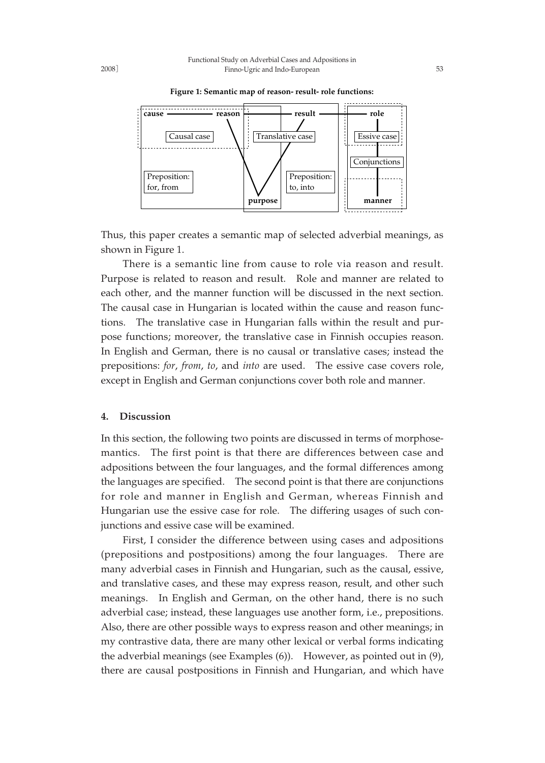

**Figure 1: Semantic map of reason- result- role functions:**

Thus, this paper creates a semantic map of selected adverbial meanings, as shown in Figure 1.

There is a semantic line from cause to role via reason and result. Purpose is related to reason and result. Role and manner are related to each other, and the manner function will be discussed in the next section. The causal case in Hungarian is located within the cause and reason functions. The translative case in Hungarian falls within the result and purpose functions; moreover, the translative case in Finnish occupies reason. In English and German, there is no causal or translative cases; instead the prepositions: *for*, *from*, *to*, and *into* are used. The essive case covers role, except in English and German conjunctions cover both role and manner.

### **4. Discussion**

In this section, the following two points are discussed in terms of morphosemantics. The first point is that there are differences between case and adpositions between the four languages, and the formal differences among the languages are specified. The second point is that there are conjunctions for role and manner in English and German, whereas Finnish and Hungarian use the essive case for role. The differing usages of such conjunctions and essive case will be examined.

First, I consider the difference between using cases and adpositions (prepositions and postpositions) among the four languages. There are many adverbial cases in Finnish and Hungarian, such as the causal, essive, and translative cases, and these may express reason, result, and other such meanings. In English and German, on the other hand, there is no such adverbial case; instead, these languages use another form, i.e., prepositions. Also, there are other possible ways to express reason and other meanings; in my contrastive data, there are many other lexical or verbal forms indicating the adverbial meanings (see Examples (6)). However, as pointed out in (9), there are causal postpositions in Finnish and Hungarian, and which have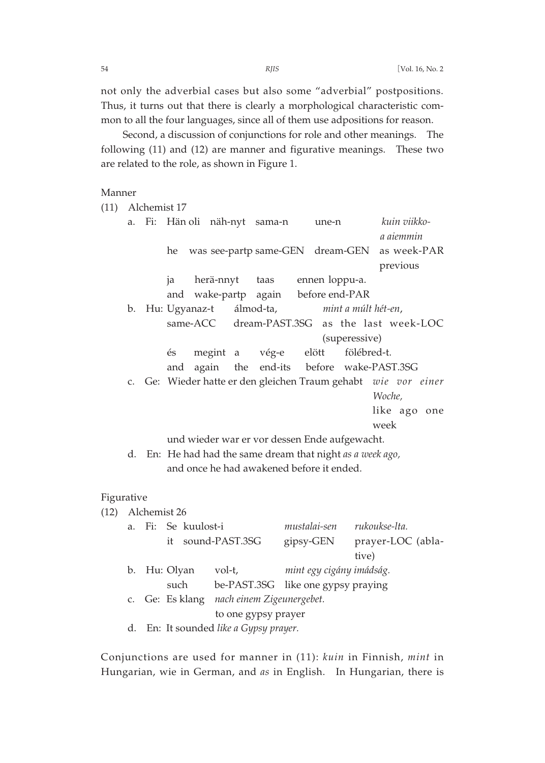not only the adverbial cases but also some "adverbial" postpositions. Thus, it turns out that there is clearly a morphological characteristic common to all the four languages, since all of them use adpositions for reason.

Second, a discussion of conjunctions for role and other meanings. The following (11) and (12) are manner and figurative meanings. These two are related to the role, as shown in Figure 1.

#### Manner

| (11)       |    | Alchemist 17                              |                     |      |                                                                |             |                                                                          |
|------------|----|-------------------------------------------|---------------------|------|----------------------------------------------------------------|-------------|--------------------------------------------------------------------------|
|            | a. | Fi: Hän oli näh-nyt sama-n                |                     |      | une-n                                                          |             | kuin viikko-                                                             |
|            |    | he                                        |                     |      |                                                                |             | a aiemmin<br>was see-partp same-GEN dream-GEN as week-PAR<br>previous    |
|            |    | ja                                        | herä-nnyt           | taas | ennen loppu-a.<br>and wake-partp again before end-PAR          |             |                                                                          |
|            |    | b. Hu: Ugyanaz-t álmod-ta,                |                     |      | mint a múlt hét-en,                                            |             |                                                                          |
|            |    |                                           |                     |      | (superessive)                                                  |             | same-ACC dream-PAST.3SG as the last week-LOC                             |
|            |    | és<br>and                                 | megint a vég-e      |      | elött<br>again the end-its before wake-PAST.3SG                | fölébred-t. |                                                                          |
|            |    |                                           |                     |      |                                                                |             | c. Ge: Wieder hatte er den gleichen Traum gehabt wie vor einer<br>Woche, |
|            |    |                                           |                     |      |                                                                |             | like ago one<br>week                                                     |
|            |    |                                           |                     |      | und wieder war er vor dessen Ende aufgewacht.                  |             |                                                                          |
|            |    |                                           |                     |      | d. En: He had had the same dream that night as a week ago,     |             |                                                                          |
|            |    |                                           |                     |      | and once he had awakened before it ended.                      |             |                                                                          |
| Figurative |    |                                           |                     |      |                                                                |             |                                                                          |
| (12)       |    | Alchemist 26                              |                     |      |                                                                |             |                                                                          |
|            | a. | Fi: Se kuulost-i<br>it sound-PAST.3SG     |                     |      | mustalai-sen rukoukse-lta.                                     | tive)       | gipsy-GEN prayer-LOC (abla-                                              |
|            |    | b. Hu: Olyan vol-t,<br>such               |                     |      | mint egy cigány imádság.<br>be-PAST.3SG like one gypsy praying |             |                                                                          |
|            |    | c. Ge: Es klang nach einem Zigeunergebet. |                     |      |                                                                |             |                                                                          |
|            |    |                                           | to one gypsy prayer |      |                                                                |             |                                                                          |

d. En: It sounded *like a Gypsy prayer.*

Conjunctions are used for manner in (11): *kuin* in Finnish, *mint* in Hungarian, wie in German, and *as* in English. In Hungarian, there is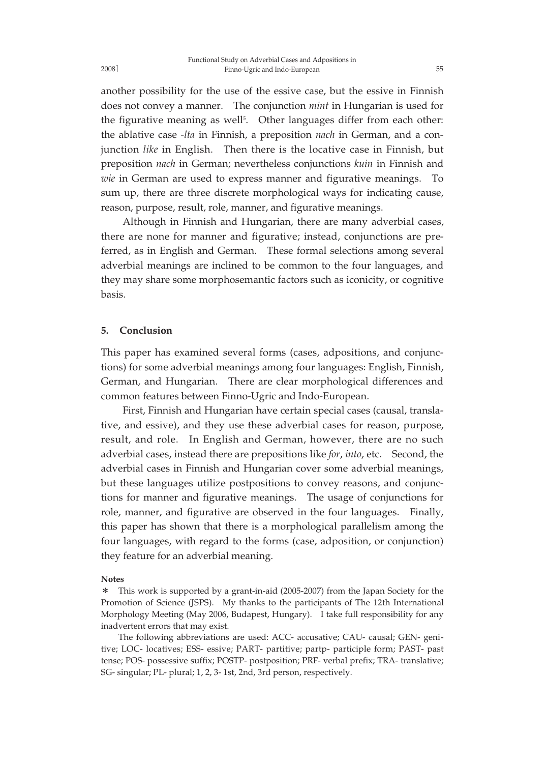another possibility for the use of the essive case, but the essive in Finnish does not convey a manner. The conjunction *mint* in Hungarian is used for the figurative meaning as well<sup>5</sup>. Other languages differ from each other: the ablative case *-lta* in Finnish, a preposition *nach* in German, and a conjunction *like* in English. Then there is the locative case in Finnish, but preposition *nach* in German; nevertheless conjunctions *kuin* in Finnish and *wie* in German are used to express manner and figurative meanings. To sum up, there are three discrete morphological ways for indicating cause, reason, purpose, result, role, manner, and figurative meanings.

Although in Finnish and Hungarian, there are many adverbial cases, there are none for manner and figurative; instead, conjunctions are preferred, as in English and German. These formal selections among several adverbial meanings are inclined to be common to the four languages, and they may share some morphosemantic factors such as iconicity, or cognitive basis.

#### **5. Conclusion**

This paper has examined several forms (cases, adpositions, and conjunctions) for some adverbial meanings among four languages: English, Finnish, German, and Hungarian. There are clear morphological differences and common features between Finno-Ugric and Indo-European.

First, Finnish and Hungarian have certain special cases (causal, translative, and essive), and they use these adverbial cases for reason, purpose, result, and role. In English and German, however, there are no such adverbial cases, instead there are prepositions like *for*, *into*, etc. Second, the adverbial cases in Finnish and Hungarian cover some adverbial meanings, but these languages utilize postpositions to convey reasons, and conjunctions for manner and figurative meanings. The usage of conjunctions for role, manner, and figurative are observed in the four languages. Finally, this paper has shown that there is a morphological parallelism among the four languages, with regard to the forms (case, adposition, or conjunction) they feature for an adverbial meaning.

#### **Notes**

\* This work is supported by a grant-in-aid (2005-2007) from the Japan Society for the Promotion of Science (JSPS). My thanks to the participants of The 12th International Morphology Meeting (May 2006, Budapest, Hungary). I take full responsibility for any inadvertent errors that may exist.

The following abbreviations are used: ACC- accusative; CAU- causal; GEN- genitive; LOC- locatives; ESS- essive; PART- partitive; partp- participle form; PAST- past tense; POS- possessive suffix; POSTP- postposition; PRF- verbal prefix; TRA- translative; SG- singular; PL- plural; 1, 2, 3- 1st, 2nd, 3rd person, respectively.

2008]